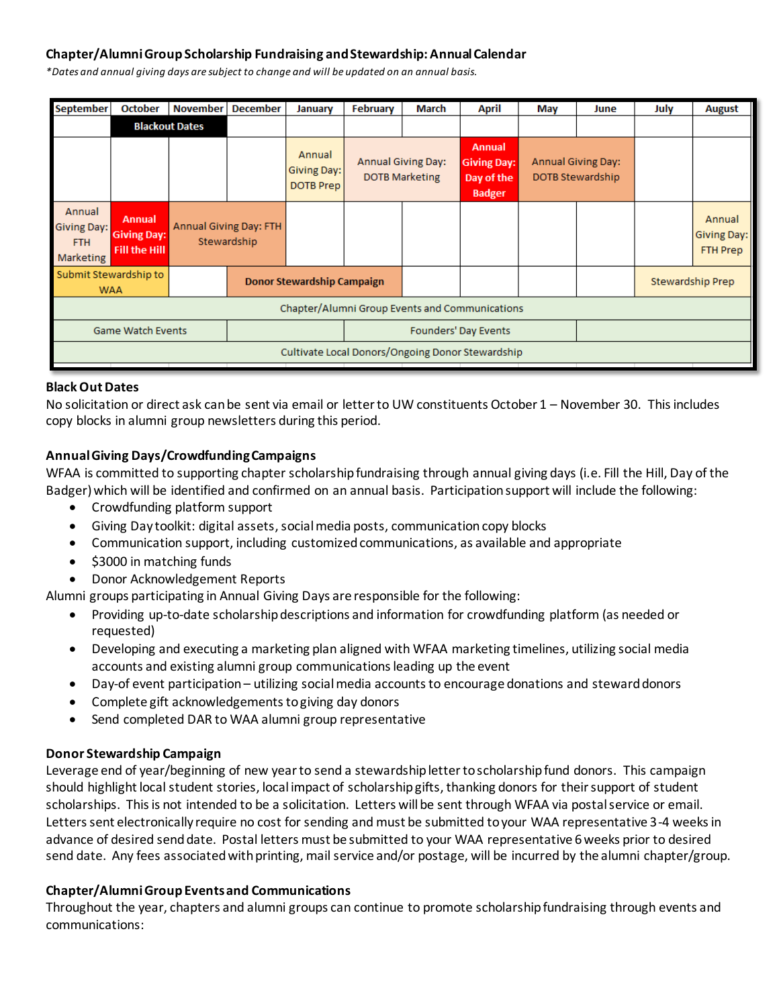## **Chapter/Alumni Group Scholarship Fundraising and Stewardship: Annual Calendar**

*\*Dates and annual giving days are subject to change and will be updated on an annual basis.*

| <b>September</b>                                               | <b>October</b>                                              | <b>November</b>               | <b>December</b>                   | January                                   | February                                                                                                                                                                  | March                | April | May | June | July             | <b>August</b>                            |
|----------------------------------------------------------------|-------------------------------------------------------------|-------------------------------|-----------------------------------|-------------------------------------------|---------------------------------------------------------------------------------------------------------------------------------------------------------------------------|----------------------|-------|-----|------|------------------|------------------------------------------|
|                                                                | <b>Blackout Dates</b>                                       |                               |                                   |                                           |                                                                                                                                                                           |                      |       |     |      |                  |                                          |
|                                                                |                                                             |                               |                                   | Annual<br>Giving Day:<br><b>DOTB Prep</b> | <b>Annual</b><br><b>Annual Giving Day:</b><br><b>Annual Giving Day:</b><br><b>Giving Day:</b><br><b>DOTB Marketing</b><br>DOTB Stewardship<br>Day of the<br><b>Badger</b> |                      |       |     |      |                  |                                          |
| Annual<br><b>Giving Day:</b><br><b>FTH</b><br><b>Marketing</b> | <b>Annual</b><br><b>Giving Day:</b><br><b>Fill the Hill</b> | <b>Annual Giving Day: FTH</b> | Stewardship                       |                                           |                                                                                                                                                                           |                      |       |     |      |                  | Annual<br>Giving Day:<br><b>FTH Prep</b> |
| Submit Stewardship to<br><b>WAA</b>                            |                                                             |                               | <b>Donor Stewardship Campaign</b> |                                           |                                                                                                                                                                           |                      |       |     |      | Stewardship Prep |                                          |
| Chapter/Alumni Group Events and Communications                 |                                                             |                               |                                   |                                           |                                                                                                                                                                           |                      |       |     |      |                  |                                          |
| <b>Game Watch Events</b>                                       |                                                             |                               |                                   |                                           |                                                                                                                                                                           | Founders' Day Events |       |     |      |                  |                                          |
| Cultivate Local Donors/Ongoing Donor Stewardship               |                                                             |                               |                                   |                                           |                                                                                                                                                                           |                      |       |     |      |                  |                                          |

#### **Black Out Dates**

No solicitation or direct ask can be sent via email or letter to UW constituents October 1 – November 30. This includes copy blocks in alumni group newsletters during this period.

#### **Annual Giving Days/Crowdfunding Campaigns**

WFAA is committed to supporting chapter scholarship fundraising through annual giving days (i.e. Fill the Hill, Day of the Badger) which will be identified and confirmed on an annual basis. Participation support will include the following:

- Crowdfunding platform support
- Giving Day toolkit: digital assets, social media posts, communication copy blocks
- Communication support, including customized communications, as available and appropriate
- \$3000 in matching funds
- Donor Acknowledgement Reports

Alumni groups participating in Annual Giving Days are responsible for the following:

- Providing up-to-date scholarship descriptions and information for crowdfunding platform (as needed or requested)
- Developing and executing a marketing plan aligned with WFAA marketing timelines, utilizing social media accounts and existing alumni group communications leading up the event
- Day-of event participation utilizing social media accounts to encourage donations and steward donors
- Complete gift acknowledgements to giving day donors
- Send completed DAR to WAA alumni group representative

### **Donor Stewardship Campaign**

Leverage end of year/beginning of new year to send a stewardship letter to scholarship fund donors. This campaign should highlight local student stories, local impact of scholarship gifts, thanking donors for their support of student scholarships. This is not intended to be a solicitation. Letters will be sent through WFAA via postal service or email. Letters sent electronically require no cost for sending and must be submitted to your WAA representative 3-4 weeks in advance of desired send date. Postal letters must be submitted to your WAA representative 6 weeks prior to desired send date. Any fees associated with printing, mail service and/or postage, will be incurred by the alumni chapter/group.

### **Chapter/Alumni GroupEventsand Communications**

Throughout the year, chapters and alumni groups can continue to promote scholarship fundraising through events and communications: